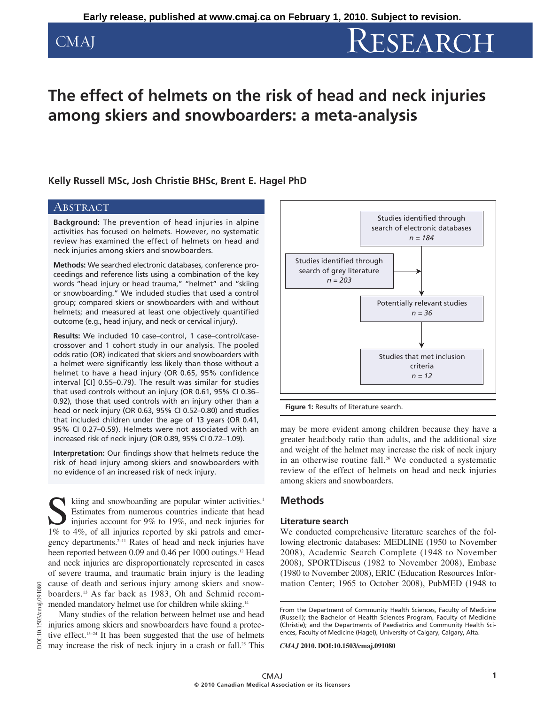# CMAJ RESEARCH

## **The effect of helmets on the risk of head and neck injuries among skiers and snowboarders: a meta-analysis**

## **Kelly Russell MSc, Josh Christie BHSc, Brent E. Hagel PhD**

## **ABSTRACT**

**Background:** The prevention of head injuries in alpine activities has focused on helmets. However, no systematic review has examined the effect of helmets on head and neck injuries among skiers and snowboarders.

**Methods:** We searched electronic databases, conference proceedings and reference lists using a combination of the key words "head injury or head trauma," "helmet" and "skiing or snowboarding." We included studies that used a control group; compared skiers or snowboarders with and without helmets; and measured at least one objectively quantified outcome (e.g., head injury, and neck or cervical injury).

Results: We included 10 case-control, 1 case-control/casecrossover and 1 cohort study in our analysis. The pooled odds ratio (OR) indicated that skiers and snowboarders with a helmet were significantly less likely than those without a helmet to have a head injury (OR 0.65, 95% confidence interval [CI] 0.55–0.79). The result was similar for studies that used controls without an injury (OR 0.61, 95% CI 0.36– 0.92), those that used controls with an injury other than a head or neck injury (OR 0.63, 95% CI 0.52–0.80) and studies that included children under the age of 13 years (OR 0.41, 95% CI 0.27–0.59). Helmets were not associated with an increased risk of neck injury (OR 0.89, 95% CI 0.72–1.09).

**Interpretation:** Our findings show that helmets reduce the risk of head injury among skiers and snowboarders with no evidence of an increased risk of neck injury.

Skiing and snowboarding are popular winter activities.<sup>1</sup><br>Estimates from numerous countries indicate that head<br>injuries account for 9% to 19%, and neck injuries for<br>1% to 4% of all injuries reported by ski patrols and emer Estimates from numerous countries indicate that head injuries account for 9% to 19%, and neck injuries for 1% to 4%, of all injuries reported by ski patrols and emergency departments.2–11 Rates of head and neck injuries have been reported between 0.09 and 0.46 per 1000 outings.<sup>12</sup> Head and neck injuries are disproportionately represented in cases of severe trauma, and traumatic brain injury is the leading cause of death and serious injury among skiers and snowboarders.13 As far back as 1983, Oh and Schmid recommended mandatory helmet use for children while skiing.<sup>14</sup>

Many studies of the relation between helmet use and head injuries among skiers and snowboarders have found a protective effect.<sup>15-24</sup> It has been suggested that the use of helmets may increase the risk of neck injury in a crash or fall.<sup>25</sup> This



**Figure 1:** Results of literature search.

may be more evident among children because they have a greater head:body ratio than adults, and the additional size and weight of the helmet may increase the risk of neck injury in an otherwise routine fall.<sup>26</sup> We conducted a systematic review of the effect of helmets on head and neck injuries among skiers and snowboarders.

## **Methods**

#### **Literature search**

We conducted comprehensive literature searches of the following electronic databases: MEDLINE (1950 to November 2008), Academic Search Complete (1948 to November 2008), SPORTDiscus (1982 to November 2008), Embase (1980 to November 2008), ERIC (Education Resources Information Center; 1965 to October 2008), PubMED (1948 to

*CMAJ* **2010. DOI:10.1503/cmaj.091080**

From the Department of Community Health Sciences, Faculty of Medicine (Russell); the Bachelor of Health Sciences Program, Faculty of Medicine (Christie); and the Departments of Paediatrics and Community Health Sciences, Faculty of Medicine (Hagel), University of Calgary, Calgary, Alta.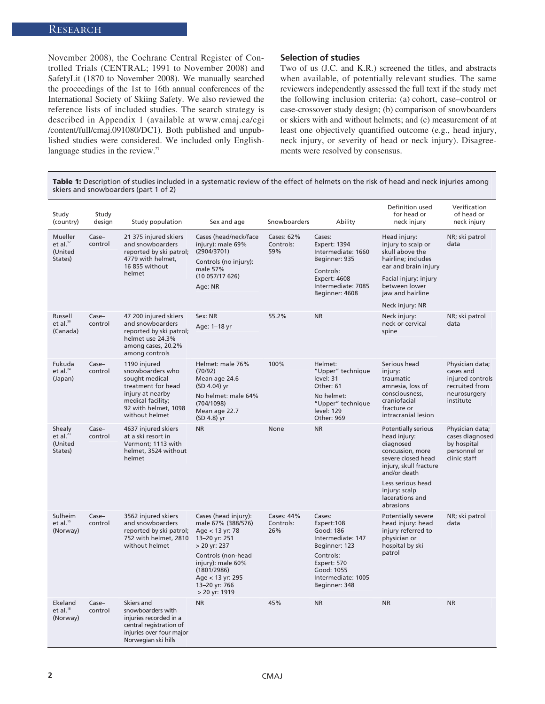November 2008), the Cochrane Central Register of Controlled Trials (CENTRAL; 1991 to November 2008) and SafetyLit (1870 to November 2008). We manually searched the proceedings of the 1st to 16th annual conferences of the International Society of Skiing Safety. We also reviewed the reference lists of included studies. The search strategy is described in Appendix 1 (available at www.cmaj.ca/cgi /content/full/cmaj.091080/DC1). Both published and unpublished studies were considered. We included only Englishlanguage studies in the review.<sup>27</sup>

#### **Selection of studies**

Two of us (J.C. and K.R.) screened the titles, and abstracts when available, of potentially relevant studies. The same reviewers independently assessed the full text if the study met the following inclusion criteria: (a) cohort, case–control or case-crossover study design; (b) comparison of snowboarders or skiers with and without helmets; and (c) measurement of at least one objectively quantified outcome (e.g., head injury, neck injury, or severity of head or neck injury). Disagreements were resolved by consensus.

**Table 1:** Description of studies included in a systematic review of the effect of helmets on the risk of head and neck injuries among skiers and snowboarders (part 1 of 2)

| Study<br>(country)                                  | Study<br>design    | Study population                                                                                                                                            | Sex and age                                                                                                                                                                                                    | Snowboarders                          | Ability                                                                                                                                                   | Definition used<br>for head or<br>neck injury                                                                                                                                                              | Verification<br>of head or<br>neck injury                                                       |
|-----------------------------------------------------|--------------------|-------------------------------------------------------------------------------------------------------------------------------------------------------------|----------------------------------------------------------------------------------------------------------------------------------------------------------------------------------------------------------------|---------------------------------------|-----------------------------------------------------------------------------------------------------------------------------------------------------------|------------------------------------------------------------------------------------------------------------------------------------------------------------------------------------------------------------|-------------------------------------------------------------------------------------------------|
| <b>Mueller</b><br>et al. $17$<br>(United<br>States) | Case-<br>control   | 21 375 injured skiers<br>and snowboarders<br>reported by ski patrol;<br>4779 with helmet,<br>16 855 without<br>helmet                                       | Cases (head/neck/face<br>injury): male 69%<br>(2904/3701)<br>Controls (no injury):<br>male 57%<br>(10057/17626)<br>Age: NR                                                                                     | Cases: 62%<br>Controls:<br>59%        | Cases:<br>Expert: 1394<br>Intermediate: 1660<br>Beginner: 935<br>Controls:<br><b>Expert: 4608</b><br>Intermediate: 7085<br>Beginner: 4608                 | Head injury:<br>injury to scalp or<br>skull above the<br>hairline; includes<br>ear and brain injury<br>Facial injury: injury<br>between lower<br>jaw and hairline<br>Neck injury: NR                       | NR; ski patrol<br>data                                                                          |
| Russell<br>et al. $30$<br>(Canada)                  | $Case-$<br>control | 47 200 injured skiers<br>and snowboarders<br>reported by ski patrol;<br>helmet use 24.3%<br>among cases, 20.2%<br>among controls                            | Sex: NR<br>Age: 1-18 yr                                                                                                                                                                                        | 55.2%                                 | <b>NR</b>                                                                                                                                                 | Neck injury:<br>neck or cervical<br>spine                                                                                                                                                                  | NR; ski patrol<br>data                                                                          |
| Fukuda<br>et al. $^{24}$<br>(Japan)                 | $Case-$<br>control | 1190 injured<br>snowboarders who<br>sought medical<br>treatment for head<br>injury at nearby<br>medical facility;<br>92 with helmet, 1098<br>without helmet | Helmet: male 76%<br>(70/92)<br>Mean age 24.6<br>(SD 4.04) yr<br>No helmet: male 64%<br>(704/1098)<br>Mean age 22.7<br>(SD 4.8) yr                                                                              | 100%                                  | Helmet:<br>"Upper" technique<br>level: 31<br>Other: 61<br>No helmet:<br>"Upper" technique<br>level: 129<br>Other: 969                                     | Serious head<br>injury:<br>traumatic<br>amnesia, loss of<br>consciousness,<br>craniofacial<br>fracture or<br>intracranial lesion                                                                           | Physician data;<br>cases and<br>injured controls<br>recruited from<br>neurosurgery<br>institute |
| Shealy<br>et al. $^{23}$<br>(United<br>States)      | Case-<br>control   | 4637 injured skiers<br>at a ski resort in<br>Vermont; 1113 with<br>helmet, 3524 without<br>helmet                                                           | <b>NR</b>                                                                                                                                                                                                      | None                                  | <b>NR</b>                                                                                                                                                 | Potentially serious<br>head injury:<br>diagnosed<br>concussion, more<br>severe closed head<br>injury, skull fracture<br>and/or death<br>Less serious head<br>injury: scalp<br>lacerations and<br>abrasions | Physician data;<br>cases diagnosed<br>by hospital<br>personnel or<br>clinic staff               |
| Sulheim<br>et al. <sup>15</sup><br>(Norway)         | Case-<br>control   | 3562 injured skiers<br>and snowboarders<br>reported by ski patrol;<br>752 with helmet, 2810<br>without helmet                                               | Cases (head injury):<br>male 67% (388/576)<br>Age < 13 yr: 78<br>13-20 yr: 251<br>> 20 yr: 237<br>Controls (non-head<br>injury): male 60%<br>(1801/2986)<br>Age < 13 yr: 295<br>13-20 yr: 766<br>> 20 yr: 1919 | <b>Cases: 44%</b><br>Controls:<br>26% | Cases:<br>Expert: 108<br>Good: 186<br>Intermediate: 147<br>Beginner: 123<br>Controls:<br>Expert: 570<br>Good: 1055<br>Intermediate: 1005<br>Beginner: 348 | Potentially severe<br>head injury: head<br>injury referred to<br>physician or<br>hospital by ski<br>patrol                                                                                                 | NR; ski patrol<br>data                                                                          |
| Ekeland<br>et al. $18$<br>(Norway)                  | $Case-$<br>control | Skiers and<br>snowboarders with<br>injuries recorded in a<br>central registration of<br>injuries over four major<br>Norwegian ski hills                     | <b>NR</b>                                                                                                                                                                                                      | 45%                                   | <b>NR</b>                                                                                                                                                 | <b>NR</b>                                                                                                                                                                                                  | <b>NR</b>                                                                                       |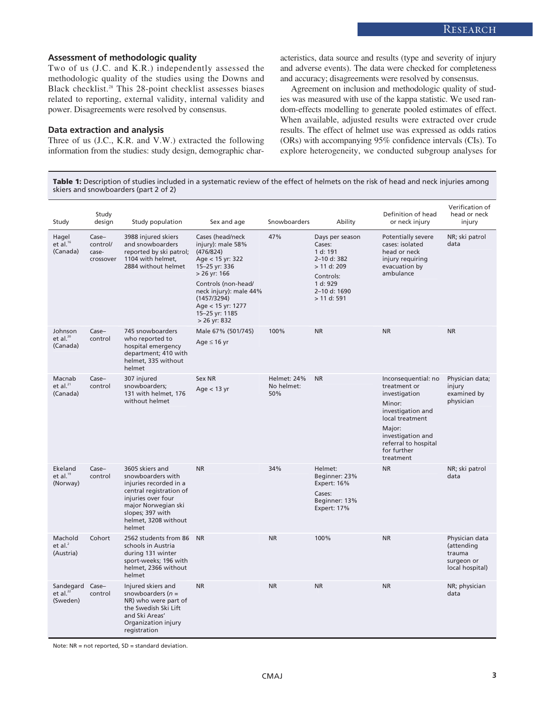## **Assessment of methodologic quality**

Two of us (J.C. and K.R.) independently assessed the methodologic quality of the studies using the Downs and Black checklist.28 This 28-point checklist assesses biases related to reporting, external validity, internal validity and power. Disagreements were resolved by consensus.

## **Data extraction and analysis**

Three of us (J.C., K.R. and V.W.) extracted the following information from the studies: study design, demographic characteristics, data source and results (type and severity of injury and adverse events). The data were checked for completeness and accuracy; disagreements were resolved by consensus.

Agreement on inclusion and methodologic quality of studies was measured with use of the kappa statistic. We used random-effects modelling to generate pooled estimates of effect. When available, adjusted results were extracted over crude results. The effect of helmet use was expressed as odds ratios (ORs) with accompanying 95% confidence intervals (CIs). To explore heterogeneity, we conducted subgroup analyses for

**Table 1:** Description of studies included in a systematic review of the effect of helmets on the risk of head and neck injuries among skiers and snowboarders (part 2 of 2)

| Study                                     | Study<br>design                         | Study population                                                                                                                                                                             | Sex and age                                                                                                                                                                                                                        | Snowboarders                     | Ability                                                                                                                       | Definition of head<br>or neck injury                                                                                                                                                      | Verification of<br>head or neck<br>injury                               |
|-------------------------------------------|-----------------------------------------|----------------------------------------------------------------------------------------------------------------------------------------------------------------------------------------------|------------------------------------------------------------------------------------------------------------------------------------------------------------------------------------------------------------------------------------|----------------------------------|-------------------------------------------------------------------------------------------------------------------------------|-------------------------------------------------------------------------------------------------------------------------------------------------------------------------------------------|-------------------------------------------------------------------------|
| Hagel<br>et al. <sup>16</sup><br>(Canada) | Case-<br>control/<br>case-<br>crossover | 3988 injured skiers<br>and snowboarders<br>reported by ski patrol;<br>1104 with helmet,<br>2884 without helmet                                                                               | Cases (head/neck<br>injury): male 58%<br>(476/824)<br>Age < 15 yr: 322<br>15-25 yr: 336<br>$> 26$ yr: 166<br>Controls (non-head/<br>neck injury): male 44%<br>(1457/3294)<br>Age < 15 yr: 1277<br>15-25 yr: 1185<br>$> 26$ yr: 832 | 47%                              | Days per season<br>Cases:<br>1 d: 191<br>2-10 d: 382<br>> 11 d: 209<br>Controls:<br>1 d: 929<br>2-10 d: 1690<br>$> 11$ d: 591 | Potentially severe<br>cases: isolated<br>head or neck<br>injury requiring<br>evacuation by<br>ambulance                                                                                   | NR; ski patrol<br>data                                                  |
| Johnson<br>et al. $20$<br>(Canada)        | $Case-$<br>control                      | 745 snowboarders<br>who reported to<br>hospital emergency<br>department; 410 with<br>helmet, 335 without<br>helmet                                                                           | Male 67% (501/745)<br>Age $\leq 16$ yr                                                                                                                                                                                             | 100%                             | <b>NR</b>                                                                                                                     | <b>NR</b>                                                                                                                                                                                 | <b>NR</b>                                                               |
| Macnab<br>et al. $^{21}$<br>(Canada)      | $Case-$<br>control                      | 307 injured<br>snowboarders;<br>131 with helmet, 176<br>without helmet                                                                                                                       | Sex NR<br>Age $<$ 13 yr                                                                                                                                                                                                            | Helmet: 24%<br>No helmet:<br>50% | <b>NR</b>                                                                                                                     | Inconsequential: no<br>treatment or<br>investigation<br>Minor:<br>investigation and<br>local treatment<br>Major:<br>investigation and<br>referral to hospital<br>for further<br>treatment | Physician data;<br>injury<br>examined by<br>physician                   |
| Ekeland<br>et al. $19$<br>(Norway)        | $Case-$<br>control                      | 3605 skiers and<br>snowboarders with<br>injuries recorded in a<br>central registration of<br>injuries over four<br>major Norwegian ski<br>slopes; 397 with<br>helmet, 3208 without<br>helmet | <b>NR</b>                                                                                                                                                                                                                          | 34%                              | Helmet:<br>Beginner: 23%<br>Expert: 16%<br>Cases:<br>Beginner: 13%<br>Expert: 17%                                             | <b>NR</b>                                                                                                                                                                                 | NR; ski patrol<br>data                                                  |
| Machold<br>et al. $2$<br>(Austria)        | Cohort                                  | 2562 students from 86<br>schools in Austria<br>during 131 winter<br>sport-weeks; 196 with<br>helmet, 2366 without<br>helmet                                                                  | <b>NR</b>                                                                                                                                                                                                                          | <b>NR</b>                        | 100%                                                                                                                          | <b>NR</b>                                                                                                                                                                                 | Physician data<br>(attending<br>trauma<br>surgeon or<br>local hospital) |
| Sandegard<br>et al. $^{22}$<br>(Sweden)   | $Case-$<br>control                      | Injured skiers and<br>snowboarders ( $n =$<br>NR) who were part of<br>the Swedish Ski Lift<br>and Ski Areas'<br>Organization injury<br>registration                                          | <b>NR</b>                                                                                                                                                                                                                          | <b>NR</b>                        | <b>NR</b>                                                                                                                     | <b>NR</b>                                                                                                                                                                                 | NR; physician<br>data                                                   |

Note: NR = not reported, SD = standard deviation.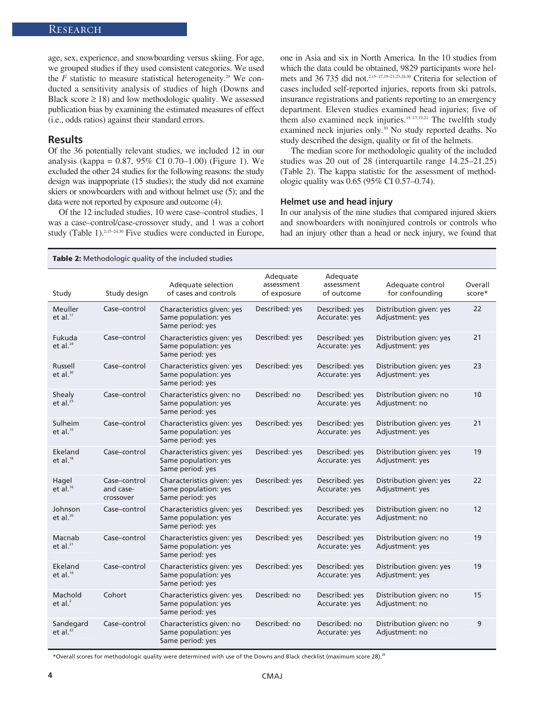age, sex, experience, and snowboarding versus skiing. For age, we grouped studies if they used consistent categories. We used the  $I<sup>2</sup>$  statistic to measure statistical heterogeneity.<sup>29</sup> We conducted a sensitivity analysis of studies of high (Downs and Black score  $\geq$  18) and low methodologic quality. We assessed publication bias by examining the estimated measures of effect (i.e., odds ratios) against their standard errors.

## **Results**

Of the 36 potentially relevant studies, we included 12 in our analysis (kappa = 0.87, 95% CI 0.70–1.00) (Figure 1). We excluded the other 24 studies for the following reasons: the study design was inappopriate (15 studies); the study did not examine skiers or snowboarders with and without helmet use (5); and the data were not reported by exposure and outcome (4).

Of the 12 included studies, 10 were case–control studies, 1 was a case–control/case-crossover study, and 1 was a cohort study (Table 1).<sup>2,15-24,30</sup> Five studies were conducted in Europe, one in Asia and six in North America. In the 10 studies from which the data could be obtained, 9829 participants wore helmets and 36 735 did not.2,15–17,19–21,23,24,30 Criteria for selection of cases included self-reported injuries, reports from ski patrols, insurance registrations and patients reporting to an emergency department. Eleven studies examined head injuries; five of them also examined neck injuries.<sup>15-17,19,21</sup> The twelfth study examined neck injuries only.<sup>30</sup> No study reported deaths. No study described the design, quality or fit of the helmets.

The median score for methodologic quality of the included studies was 20 out of 28 (interquartile range 14.25–21.25) (Table 2). The kappa statistic for the assessment of methodologic quality was 0.65 (95% CI 0.57–0.74).

#### **Helmet use and head injury**

In our analysis of the nine studies that compared injured skiers and snowboarders with noninjured controls or controls who had an injury other than a head or neck injury, we found that

| Table 2: Methodologic quality of the included studies |                                        |                                                                        |                                       |                                      |                                            |                   |
|-------------------------------------------------------|----------------------------------------|------------------------------------------------------------------------|---------------------------------------|--------------------------------------|--------------------------------------------|-------------------|
| Study                                                 | Study design                           | Adequate selection<br>of cases and controls                            | Adequate<br>assessment<br>of exposure | Adequate<br>assessment<br>of outcome | Adequate control<br>for confounding        | Overall<br>score* |
| Meuller<br>et al. $17$                                | Case-control                           | Characteristics given: yes<br>Same population: yes<br>Same period: yes | Described: yes                        | Described: yes<br>Accurate: yes      | Distribution given: yes<br>Adjustment: yes | 22                |
| Fukuda<br>et al. $^{24}$                              | Case-control                           | Characteristics given: yes<br>Same population: yes<br>Same period: yes | Described: yes                        | Described: yes<br>Accurate: yes      | Distribution given: yes<br>Adjustment: yes | 21                |
| Russell<br>et al. $30$                                | Case-control                           | Characteristics given: yes<br>Same population: yes<br>Same period: yes | Described: yes                        | Described: yes<br>Accurate: yes      | Distribution given: yes<br>Adjustment: yes | 23                |
| Shealy<br>et al. $^{23}$                              | Case-control                           | Characteristics given: no<br>Same population: yes<br>Same period: yes  | Described: no                         | Described: yes<br>Accurate: yes      | Distribution given: no<br>Adjustment: no   | 10                |
| Sulheim<br>et al. $15$                                | Case-control                           | Characteristics given: yes<br>Same population: yes<br>Same period: yes | Described: yes                        | Described: yes<br>Accurate: yes      | Distribution given: yes<br>Adjustment: yes | 21                |
| Ekeland<br>et al. <sup>18</sup>                       | Case-control                           | Characteristics given: yes<br>Same population: yes<br>Same period: yes | Described: yes                        | Described: yes<br>Accurate: yes      | Distribution given: yes<br>Adjustment: yes | 19                |
| Hagel<br>et $aI$ <sup>16</sup>                        | Case-control<br>and case-<br>crossover | Characteristics given: yes<br>Same population: yes<br>Same period: yes | Described: yes                        | Described: yes<br>Accurate: yes      | Distribution given: yes<br>Adjustment: yes | 22                |
| Johnson<br>et al. $^{20}$                             | Case-control                           | Characteristics given: yes<br>Same population: yes<br>Same period: yes | Described: yes                        | Described: yes<br>Accurate: yes      | Distribution given: no<br>Adjustment: no   | 12                |
| Macnab<br>et al. $^{21}$                              | Case-control                           | Characteristics given: yes<br>Same population: yes<br>Same period: yes | Described: yes                        | Described: yes<br>Accurate: yes      | Distribution given: no<br>Adjustment: yes  | 19                |
| Ekeland<br>et al. $^{19}$                             | Case-control                           | Characteristics given: yes<br>Same population: yes<br>Same period: yes | Described: yes                        | Described: yes<br>Accurate: yes      | Distribution given: yes<br>Adjustment: yes | 19                |
| Machold<br>et al. $2$                                 | Cohort                                 | Characteristics given: yes<br>Same population: yes<br>Same period: yes | Described: no                         | Described: yes<br>Accurate: yes      | Distribution given: no<br>Adjustment: no   | 15                |
| Sandegard<br>et al. $^{22}$                           | Case-control                           | Characteristics given: no<br>Same population: yes<br>Same period: yes  | Described: no                         | Described: no<br>Accurate: yes       | Distribution given: no<br>Adjustment: no   | 9                 |

\*Overall scores for methodologic quality were determined with use of the Downs and Black checklist (maximum score 28).<sup>28</sup>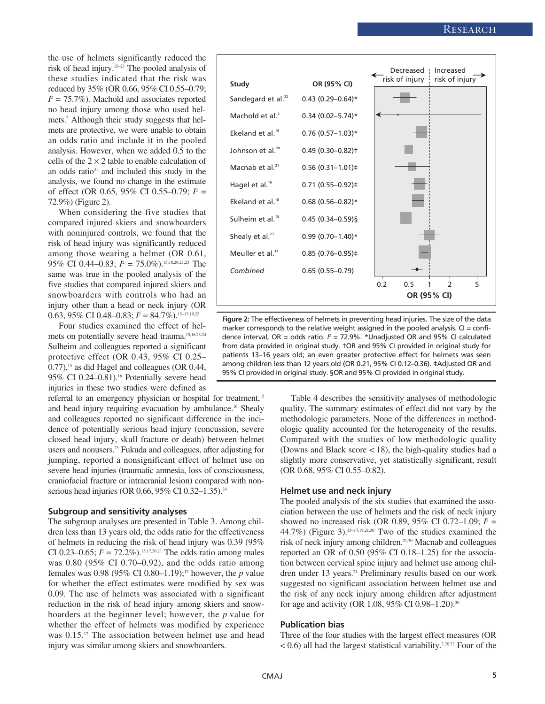the use of helmets significantly reduced the risk of head injury.15–23 The pooled analysis of these studies indicated that the risk was reduced by 35% (OR 0.66, 95% CI 0.55–0.79;  $I^2 = 75.7\%$ ). Machold and associates reported no head injury among those who used helmets.2 Although their study suggests that helmets are protective, we were unable to obtain an odds ratio and include it in the pooled analysis. However, when we added 0.5 to the cells of the  $2 \times 2$  table to enable calculation of an odds ratio<sup>31</sup> and included this study in the analysis, we found no change in the estimate of effect (OR 0.65, 95% CI 0.55–0.79; *I* <sup>2</sup> = 72.9%) (Figure 2).

When considering the five studies that compared injured skiers and snowboarders with noninjured controls, we found that the risk of head injury was significantly reduced among those wearing a helmet (OR 0.61, 95% CI 0.44–0.83;  $I^2 = 75.0\%$ ).<sup>15,18,20,21,23</sup> The same was true in the pooled analysis of the five studies that compared injured skiers and snowboarders with controls who had an injury other than a head or neck injury (OR 0.63, 95% CI 0.48–0.83;  $I^2 = 84.7\%$ ).<sup>15–17,19,22</sup>

Four studies examined the effect of helmets on potentially severe head trauma.<sup>15,16,23,24</sup> Sulheim and colleagues reported a significant protective effect (OR 0.43, 95% CI 0.25–  $(0.77)$ ,<sup>15</sup> as did Hagel and colleagues (OR 0.44, 95% CI 0.24–0.81).16 Potentially severe head injuries in these two studies were defined as

referral to an emergency physician or hospital for treatment,<sup>15</sup> and head injury requiring evacuation by ambulance.<sup>16</sup> Shealy and colleagues reported no significant difference in the incidence of potentially serious head injury (concussion, severe closed head injury, skull fracture or death) between helmet users and nonusers.<sup>23</sup> Fukuda and colleagues, after adjusting for jumping, reported a nonsignificant effect of helmet use on severe head injuries (traumatic amnesia, loss of consciousness, craniofacial fracture or intracranial lesion) compared with nonserious head injuries (OR 0.66, 95% CI 0.32–1.35).<sup>24</sup>

#### **Subgroup and sensitivity analyses**

The subgroup analyses are presented in Table 3. Among children less than 13 years old, the odds ratio for the effectiveness of helmets in reducing the risk of head injury was 0.39 (95% CI 0.23–0.65;  $P = 72.2\%$ ).<sup>15,17,20,21</sup> The odds ratio among males was 0.80 (95% CI 0.70–0.92), and the odds ratio among females was 0.98 (95% CI 0.80–1.19);17 however, the *p* value for whether the effect estimates were modified by sex was 0.09. The use of helmets was associated with a significant reduction in the risk of head injury among skiers and snowboarders at the beginner level; however, the *p* value for whether the effect of helmets was modified by experience was 0.15.17 The association between helmet use and head injury was similar among skiers and snowboarders.



**Figure 2:** The effectiveness of helmets in preventing head injuries. The size of the data marker corresponds to the relative weight assigned in the pooled analysis. CI = confidence interval, OR = odds ratio.  $F = 72.9\%$ . \*Unadjusted OR and 95% CI calculated from data provided in original study. †OR and 95% CI provided in original study for patients 13–16 years old; an even greater protective effect for helmets was seen among children less than 12 years old (OR 0.21, 95% CI 0.12–0.36). ‡Adjusted OR and 95% CI provided in original study. §OR and 95% CI provided in original study.

> Table 4 describes the sensitivity analyses of methodologic quality. The summary estimates of effect did not vary by the methodologic parameters. None of the differences in methodologic quality accounted for the heterogeneity of the results. Compared with the studies of low methodologic quality (Downs and Black score < 18), the high-quality studies had a slightly more conservative, yet statistically significant, result (OR 0.68, 95% CI 0.55–0.82).

#### **Helmet use and neck injury**

The pooled analysis of the six studies that examined the association between the use of helmets and the risk of neck injury showed no increased risk (OR 0.89, 95% CI 0.72–1.09;  $P =$ 44.7%) (Figure 3).<sup>15-17,19,21,30</sup> Two of the studies examined the risk of neck injury among children.21,30 Macnab and colleagues reported an OR of 0.50 (95% CI 0.18–1.25) for the association between cervical spine injury and helmet use among children under 13 years.<sup>21</sup> Preliminary results based on our work suggested no significant association between helmet use and the risk of any neck injury among children after adjustment for age and activity (OR 1.08, 95% CI 0.98-1.20).<sup>30</sup>

## **Publication bias**

Three of the four studies with the largest effect measures (OR  $< 0.6$ ) all had the largest statistical variability.<sup>2,20,22</sup> Four of the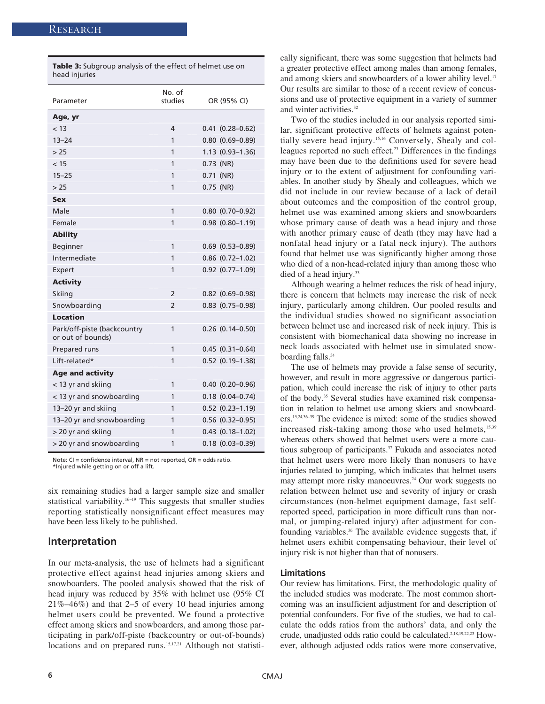| Parameter                                        | No. of<br>studies | OR (95% CI)            |
|--------------------------------------------------|-------------------|------------------------|
| Age, yr                                          |                   |                        |
| < 13                                             | 4                 | $0.41$ $(0.28 - 0.62)$ |
| $13 - 24$                                        | 1                 | $0.80$ $(0.69 - 0.89)$ |
| > 25                                             | 1                 | $1.13(0.93 - 1.36)$    |
| < 15                                             | 1                 | $0.73$ (NR)            |
| $15 - 25$                                        | $\mathbf{1}$      | $0.71$ (NR)            |
| > 25                                             | 1                 | $0.75$ (NR)            |
| <b>Sex</b>                                       |                   |                        |
| Male                                             | 1                 | $0.80$ $(0.70 - 0.92)$ |
| Female                                           | 1                 | $0.98$ $(0.80 - 1.19)$ |
| <b>Ability</b>                                   |                   |                        |
| Beginner                                         | 1                 | $0.69$ $(0.53 - 0.89)$ |
| Intermediate                                     | 1                 | $0.86$ $(0.72 - 1.02)$ |
| Expert                                           | 1                 | $0.92$ $(0.77-1.09)$   |
| <b>Activity</b>                                  |                   |                        |
| Skiing                                           | 2                 | $0.82$ $(0.69 - 0.98)$ |
| Snowboarding                                     | $\overline{2}$    | $0.83$ $(0.75 - 0.98)$ |
| Location                                         |                   |                        |
| Park/off-piste (backcountry<br>or out of bounds) | 1                 | $0.26$ $(0.14 - 0.50)$ |
| Prepared runs                                    | 1                 | $0.45(0.31-0.64)$      |
| Lift-related*                                    | 1                 | $0.52$ $(0.19-1.38)$   |
| <b>Age and activity</b>                          |                   |                        |
| < 13 yr and skiing                               | 1                 | $0.40$ $(0.20-0.96)$   |
| < 13 yr and snowboarding                         | 1                 | $0.18$ $(0.04 - 0.74)$ |
| 13-20 yr and skiing                              | 1                 | $0.52$ $(0.23 - 1.19)$ |
| 13-20 yr and snowboarding                        | 1                 | $0.56$ $(0.32 - 0.95)$ |
| > 20 yr and skiing                               | 1                 | $0.43$ $(0.18-1.02)$   |
| > 20 yr and snowboarding                         | 1                 | $0.18$ $(0.03 - 0.39)$ |

**Table 3:** Subgroup analysis of the effect of helmet use on head injuries

Note: CI = confidence interval, NR = not reported, OR = odds ratio. \*Injured while getting on or off a lift.

six remaining studies had a larger sample size and smaller statistical variability.<sup>16-19</sup> This suggests that smaller studies reporting statistically nonsignificant effect measures may have been less likely to be published.

## **Interpretation**

In our meta-analysis, the use of helmets had a significant protective effect against head injuries among skiers and snowboarders. The pooled analysis showed that the risk of head injury was reduced by 35% with helmet use (95% CI 21%–46%) and that 2–5 of every 10 head injuries among helmet users could be prevented. We found a protective effect among skiers and snowboarders, and among those participating in park/off-piste (backcountry or out-of-bounds) locations and on prepared runs.<sup>15,17,21</sup> Although not statistically significant, there was some suggestion that helmets had a greater protective effect among males than among females, and among skiers and snowboarders of a lower ability level.<sup>17</sup> Our results are similar to those of a recent review of concussions and use of protective equipment in a variety of summer and winter activities.32

Two of the studies included in our analysis reported similar, significant protective effects of helmets against potentially severe head injury.<sup>15,16</sup> Conversely, Shealy and colleagues reported no such effect.<sup>23</sup> Differences in the findings may have been due to the definitions used for severe head injury or to the extent of adjustment for confounding variables. In another study by Shealy and colleagues, which we did not include in our review because of a lack of detail about outcomes and the composition of the control group, helmet use was examined among skiers and snowboarders whose primary cause of death was a head injury and those with another primary cause of death (they may have had a nonfatal head injury or a fatal neck injury). The authors found that helmet use was significantly higher among those who died of a non-head-related injury than among those who died of a head injury.<sup>33</sup>

Although wearing a helmet reduces the risk of head injury, there is concern that helmets may increase the risk of neck injury, particularly among children. Our pooled results and the individual studies showed no significant association between helmet use and increased risk of neck injury. This is consistent with biomechanical data showing no increase in neck loads associated with helmet use in simulated snowboarding falls.<sup>34</sup>

The use of helmets may provide a false sense of security, however, and result in more aggressive or dangerous participation, which could increase the risk of injury to other parts of the body.35 Several studies have examined risk compensation in relation to helmet use among skiers and snowboarders.15,24,36–39 The evidence is mixed: some of the studies showed increased risk-taking among those who used helmets,<sup>15,39</sup> whereas others showed that helmet users were a more cautious subgroup of participants.<sup>37</sup> Fukuda and associates noted that helmet users were more likely than nonusers to have injuries related to jumping, which indicates that helmet users may attempt more risky manoeuvres.<sup>24</sup> Our work suggests no relation between helmet use and severity of injury or crash circumstances (non-helmet equipment damage, fast selfreported speed, participation in more difficult runs than normal, or jumping-related injury) after adjustment for confounding variables.36 The available evidence suggests that, if helmet users exhibit compensating behaviour, their level of injury risk is not higher than that of nonusers.

## **Limitations**

Our review has limitations. First, the methodologic quality of the included studies was moderate. The most common shortcoming was an insufficient adjustment for and description of potential confounders. For five of the studies, we had to calculate the odds ratios from the authors' data, and only the crude, unadjusted odds ratio could be calculated.2,18,19,22,23 However, although adjusted odds ratios were more conservative,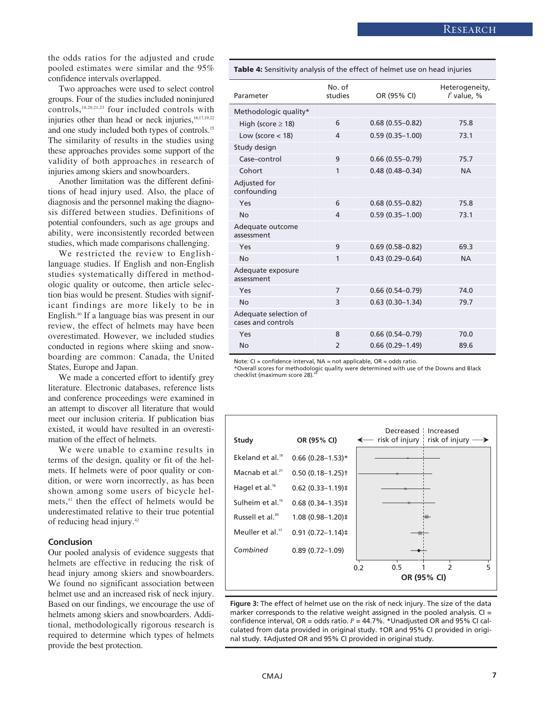the odds ratios for the adjusted and crude pooled estimates were similar and the 95% confidence intervals overlapped.

Two approaches were used to select control groups. Four of the studies included noninjured controls,18,20,21,23 four included controls with injuries other than head or neck injuries, 16,17,19,22 and one study included both types of controls.15 The similarity of results in the studies using these approaches provides some support of the validity of both approaches in research of injuries among skiers and snowboarders.

Another limitation was the different definitions of head injury used. Also, the place of diagnosis and the personnel making the diagnosis differed between studies. Definitions of potential confounders, such as age groups and ability, were inconsistently recorded between studies, which made comparisons challenging.

We restricted the review to English language studies. If English and non-English studies systematically differed in methodologic quality or outcome, then article selection bias would be present. Studies with significant findings are more likely to be in English.40 If a language bias was present in our review, the effect of helmets may have been overestimated. However, we included studies conducted in regions where skiing and snowboarding are common: Canada, the United States, Europe and Japan.

We made a concerted effort to identify grey literature. Electronic databases, reference lists and conference proceedings were examined in an attempt to discover all literature that would meet our inclusion criteria. If publication bias existed, it would have resulted in an overestimation of the effect of helmets.

We were unable to examine results in terms of the design, quality or fit of the helmets. If helmets were of poor quality or condition, or were worn incorrectly, as has been shown among some users of bicycle helmets,41 then the effect of helmets would be underestimated relative to their true potential of reducing head injury.42

#### **Conclusion**

Our pooled analysis of evidence suggests that helmets are effective in reducing the risk of head injury among skiers and snowboarders. We found no significant association between helmet use and an increased risk of neck injury. Based on our findings, we encourage the use of helmets among skiers and snowboarders. Additional, methodologically rigorous research is required to determine which types of helmets provide the best protection.

**Table 4:** Sensitivity analysis of the effect of helmet use on head injuries

| Parameter                                   | No. of<br>studies | OR (95% CI)         | Heterogeneity,<br>$l^2$ value, % |
|---------------------------------------------|-------------------|---------------------|----------------------------------|
| Methodologic quality*                       |                   |                     |                                  |
| High (score $\geq$ 18)                      | 6                 | $0.68(0.55 - 0.82)$ | 75.8                             |
| Low (score $<$ 18)                          | 4                 | $0.59(0.35 - 1.00)$ | 73.1                             |
| Study design                                |                   |                     |                                  |
| Case-control                                | 9                 | $0.66(0.55 - 0.79)$ | 75.7                             |
| Cohort                                      | 1                 | $0.48(0.48 - 0.34)$ | <b>NA</b>                        |
| Adjusted for<br>confounding                 |                   |                     |                                  |
| Yes                                         | 6                 | $0.68(0.55 - 0.82)$ | 75.8                             |
| No                                          | 4                 | $0.59(0.35 - 1.00)$ | 73.1                             |
| Adequate outcome<br>assessment              |                   |                     |                                  |
| Yes                                         | 9                 | $0.69(0.58 - 0.82)$ | 69.3                             |
| <b>No</b>                                   | 1                 | $0.43(0.29 - 0.64)$ | <b>NA</b>                        |
| Adequate exposure<br>assessment             |                   |                     |                                  |
| Yes                                         | 7                 | $0.66(0.54 - 0.79)$ | 74.0                             |
| <b>No</b>                                   | 3                 | $0.63(0.30 - 1.34)$ | 79.7                             |
| Adequate selection of<br>cases and controls |                   |                     |                                  |
| Yes                                         | 8                 | $0.66(0.54 - 0.79)$ | 70.0                             |
| <b>No</b>                                   | $\overline{2}$    | $0.66(0.29 - 1.49)$ | 89.6                             |

Note: CI = confidence interval, NA = not applicable, OR = odds ratio.

\*Overall scores for methodologic quality were determined with use of the Downs and Black checklist (maximum score 28).



**Figure 3:** The effect of helmet use on the risk of neck injury. The size of the data marker corresponds to the relative weight assigned in the pooled analysis.  $CI =$ confidence interval, OR = odds ratio.  $P = 44.7\%$ . \*Unadjusted OR and 95% CI calculated from data provided in original study. †OR and 95% CI provided in original study. ‡Adjusted OR and 95% CI provided in original study.